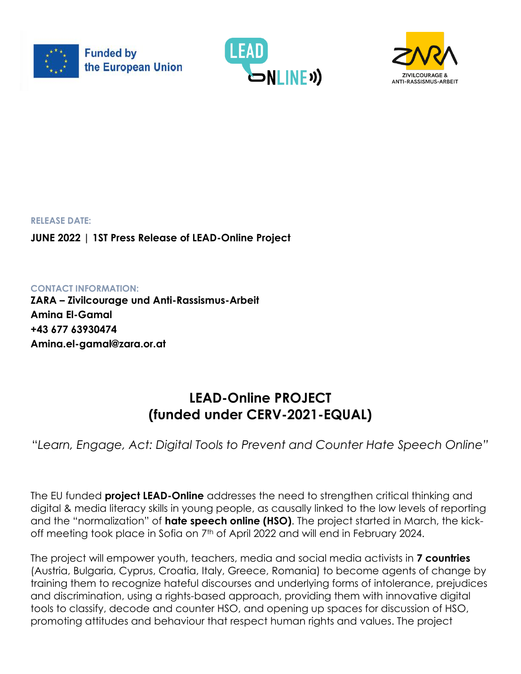





**RELEASE DATE: JUNE 2022 | 1ST Press Release of LEAD-Online Project**

**CONTACT INFORMATION: ZARA – Zivilcourage und Anti-Rassismus-Arbeit Amina El-Gamal +43 677 63930474 Amina.el-gamal@zara.or.at**

# **LEAD-Online PROJECT (funded under CERV-2021-EQUAL)**

"*Learn, Engage, Act: Digital Tools to Prevent and Counter Hate Speech Online"*

The EU funded **project LEAD-Online** addresses the need to strengthen critical thinking and digital & media literacy skills in young people, as causally linked to the low levels of reporting and the "normalization" of **hate speech online (HSO)**. The project started in March, the kickoff meeting took place in Sofia on 7<sup>th</sup> of April 2022 and will end in February 2024.

The project will empower youth, teachers, media and social media activists in **7 countries** (Austria, Bulgaria, Cyprus, Croatia, Italy, Greece, Romania) to become agents of change by training them to recognize hateful discourses and underlying forms of intolerance, prejudices and discrimination, using a rights-based approach, providing them with innovative digital tools to classify, decode and counter HSO, and opening up spaces for discussion of HSO, promoting attitudes and behaviour that respect human rights and values. The project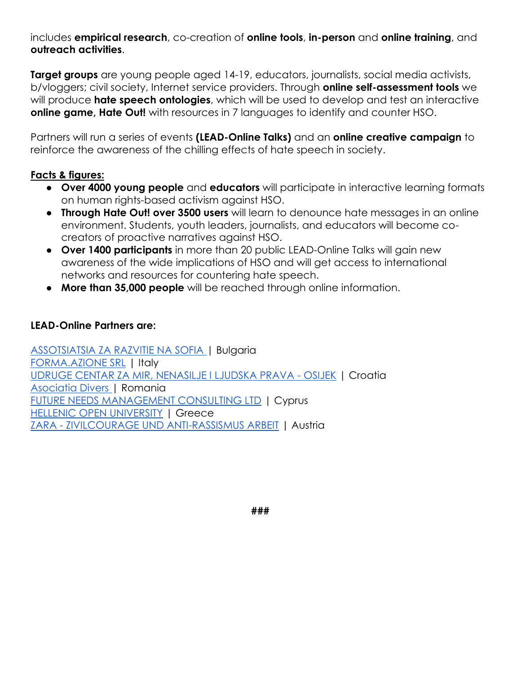includes **empirical research**, co-creation of **online tools**, **in-person** and **online training**, and **outreach activities**.

**Target groups** are young people aged 14-19, educators, journalists, social media activists, b/vloggers; civil society, Internet service providers. Through **online self-assessment tools** we will produce **hate speech ontologies**, which will be used to develop and test an interactive **online game, Hate Out!** with resources in 7 languages to identify and counter HSO.

Partners will run a series of events **(LEAD-Online Talks)** and an **online creative campaign** to reinforce the awareness of the chilling effects of hate speech in society.

### **Facts & figures:**

- **Over 4000 young people** and **educators** will participate in interactive learning formats on human rights-based activism against HSO.
- **Through Hate Out! over 3500 users** will learn to denounce hate messages in an online environment. Students, youth leaders, journalists, and educators will become cocreators of proactive narratives against HSO.
- **Over 1400 participants** in more than 20 public LEAD-Online Talks will gain new awareness of the wide implications of HSO and will get access to international networks and resources for countering hate speech.
- **More than 35,000 people** will be reached through online information.

#### **LEAD-Online Partners are:**

[ASSOTSIATSIA ZA RAZVITIE NA SOFIA |](https://www.sofia-da.eu/en/) Bulgaria [FORMA.AZIONE SRL](https://www.azione.com/) | Italy [UDRUGE CENTAR ZA MIR, NENASILJE I LJUDSKA PRAVA -](https://www.centar-za-mir.hr/en/) OSIJEK | Croatia [Asociatia Divers |](https://divers.org.ro/) Romania [FUTURE NEEDS MANAGEMENT CONSULTING LTD](https://futureneeds.eu/) | Cyprus [HELLENIC OPEN UNIVERSITY](https://www.eap.gr/) | Greece ZARA - [ZIVILCOURAGE UND ANTI-RASSISMUS ARBEIT](https://www.zara.or.at/en/) | Austria

**###**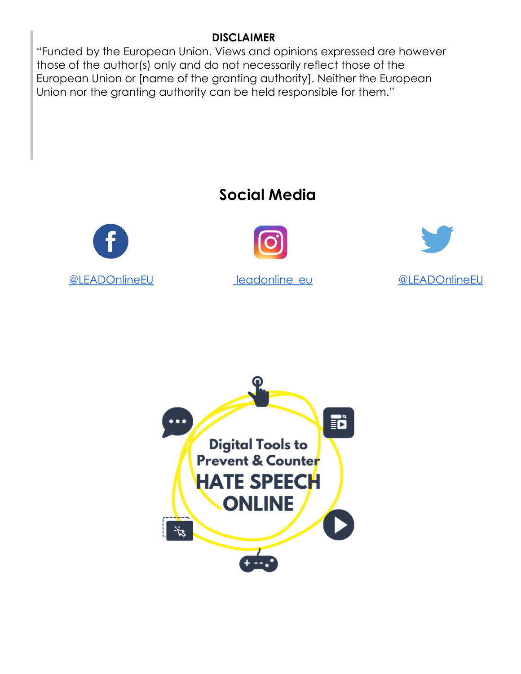## **DISCLAIMER**

"Funded by the European Union. Views and opinions expressed are however those of the author(s) only and do not necessarily reflect those of the European Union or [name of the granting authority]. Neither the European Union nor the granting authority can be held responsible for them."

# **Social Mediα**